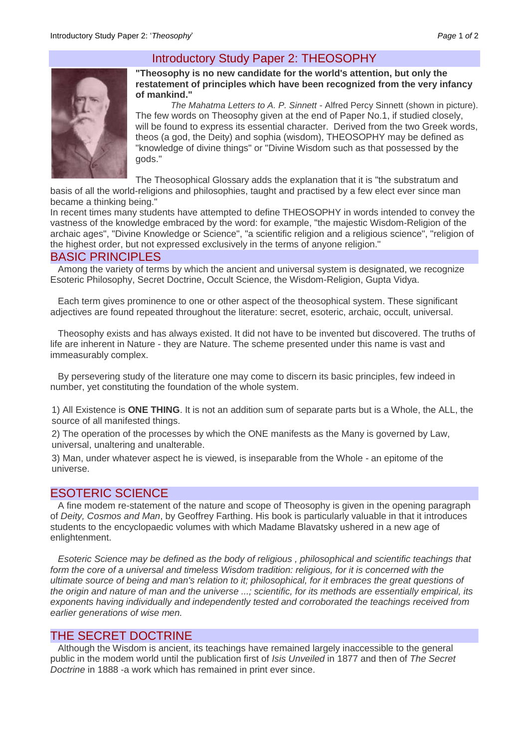# Introductory Study Paper 2: THEOSOPHY



### **"Theosophy is no new candidate for the world's attention, but only the restatement of principles which have been recognized from the very infancy of mankind."**

*The Mahatma Letters to A. P. Sinnett -* Alfred Percy Sinnett (shown in picture). The few words on Theosophy given at the end of Paper No.1, if studied closely, will be found to express its essential character. Derived from the two Greek words, theos (a god, the Deity) and sophia (wisdom), THEOSOPHY may be defined as "knowledge of divine things" or "Divine Wisdom such as that possessed by the gods."

The Theosophical Glossary adds the explanation that it is "the substratum and

basis of all the world-religions and philosophies, taught and practised by a few elect ever since man became a thinking being."

In recent times many students have attempted to define THEOSOPHY in words intended to convey the vastness of the knowledge embraced by the word: for example, "the majestic Wisdom-Religion of the archaic ages", "Divine Knowledge or Science", "a scientific religion and a religious science", "religion of the highest order, but not expressed exclusively in the terms of anyone religion."

### BASIC PRINCIPLES

Among the variety of terms by which the ancient and universal system is designated, we recognize Esoteric Philosophy, Secret Doctrine, Occult Science, the Wisdom-Religion, Gupta Vidya.

Each term gives prominence to one or other aspect of the theosophical system. These significant adjectives are found repeated throughout the literature: secret, esoteric, archaic, occult, universal.

Theosophy exists and has always existed. It did not have to be invented but discovered. The truths of life are inherent in Nature - they are Nature. The scheme presented under this name is vast and immeasurably complex.

By persevering study of the literature one may come to discern its basic principles, few indeed in number, yet constituting the foundation of the whole system.

1) All Existence is **ONE THING**. It is not an addition sum of separate parts but is a Whole, the ALL, the source of all manifested things.

2) The operation of the processes by which the ONE manifests as the Many is governed by Law, universal, unaltering and unalterable.

3) Man, under whatever aspect he is viewed, is inseparable from the Whole - an epitome of the universe.

# ESOTERIC SCIENCE

A fine modem re-statement of the nature and scope of Theosophy is given in the opening paragraph of *Deity, Cosmos and Man*, by Geoffrey Farthing. His book is particularly valuable in that it introduces students to the encyclopaedic volumes with which Madame Blavatsky ushered in a new age of enlightenment.

*Esoteric Science may be defined as the body of religious , philosophical and scientific teachings that*  form the core of a universal and timeless Wisdom tradition: religious, for it is concerned with the *ultimate source of being and man's relation to it; philosophical, for it embraces the great questions of the origin and nature of man and the universe ...; scientific, for its methods are essentially empirical, its exponents having individually and independently tested and corroborated the teachings received from earlier generations of wise men.*

## THE SECRET DOCTRINE

Although the Wisdom is ancient, its teachings have remained largely inaccessible to the general public in the modem world until the publication first of *Isis Unveiled* in 1877 and then of *The Secret Doctrine* in 1888 -a work which has remained in print ever since.